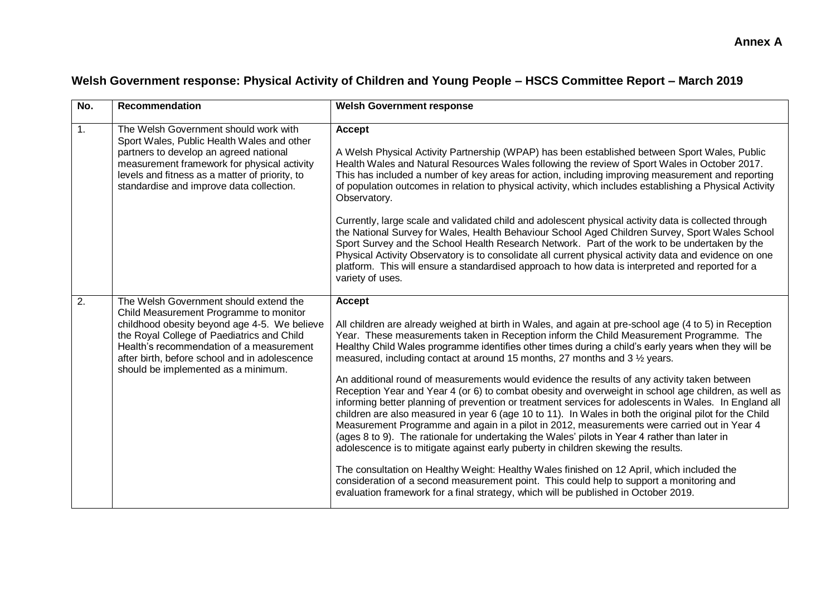## **Welsh Government response: Physical Activity of Children and Young People – HSCS Committee Report – March 2019**

| No.              | <b>Recommendation</b>                                                                                                                                                                                                                                                                                              | <b>Welsh Government response</b>                                                                                                                                                                                                                                                                                                                                                                                                                                                                                                                                                                                                                                                                                                                                                                                                                                                                                                                                                                                                                                                                                                                                                                                                                                                                                                                                                                          |
|------------------|--------------------------------------------------------------------------------------------------------------------------------------------------------------------------------------------------------------------------------------------------------------------------------------------------------------------|-----------------------------------------------------------------------------------------------------------------------------------------------------------------------------------------------------------------------------------------------------------------------------------------------------------------------------------------------------------------------------------------------------------------------------------------------------------------------------------------------------------------------------------------------------------------------------------------------------------------------------------------------------------------------------------------------------------------------------------------------------------------------------------------------------------------------------------------------------------------------------------------------------------------------------------------------------------------------------------------------------------------------------------------------------------------------------------------------------------------------------------------------------------------------------------------------------------------------------------------------------------------------------------------------------------------------------------------------------------------------------------------------------------|
| 1.               | The Welsh Government should work with<br>Sport Wales, Public Health Wales and other<br>partners to develop an agreed national<br>measurement framework for physical activity<br>levels and fitness as a matter of priority, to<br>standardise and improve data collection.                                         | <b>Accept</b><br>A Welsh Physical Activity Partnership (WPAP) has been established between Sport Wales, Public<br>Health Wales and Natural Resources Wales following the review of Sport Wales in October 2017.<br>This has included a number of key areas for action, including improving measurement and reporting<br>of population outcomes in relation to physical activity, which includes establishing a Physical Activity<br>Observatory.                                                                                                                                                                                                                                                                                                                                                                                                                                                                                                                                                                                                                                                                                                                                                                                                                                                                                                                                                          |
|                  |                                                                                                                                                                                                                                                                                                                    | Currently, large scale and validated child and adolescent physical activity data is collected through<br>the National Survey for Wales, Health Behaviour School Aged Children Survey, Sport Wales School<br>Sport Survey and the School Health Research Network. Part of the work to be undertaken by the<br>Physical Activity Observatory is to consolidate all current physical activity data and evidence on one<br>platform. This will ensure a standardised approach to how data is interpreted and reported for a<br>variety of uses.                                                                                                                                                                                                                                                                                                                                                                                                                                                                                                                                                                                                                                                                                                                                                                                                                                                               |
| $\overline{2}$ . | The Welsh Government should extend the<br>Child Measurement Programme to monitor<br>childhood obesity beyond age 4-5. We believe<br>the Royal College of Paediatrics and Child<br>Health's recommendation of a measurement<br>after birth, before school and in adolescence<br>should be implemented as a minimum. | <b>Accept</b><br>All children are already weighed at birth in Wales, and again at pre-school age (4 to 5) in Reception<br>Year. These measurements taken in Reception inform the Child Measurement Programme. The<br>Healthy Child Wales programme identifies other times during a child's early years when they will be<br>measured, including contact at around 15 months, 27 months and 3 1/2 years.<br>An additional round of measurements would evidence the results of any activity taken between<br>Reception Year and Year 4 (or 6) to combat obesity and overweight in school age children, as well as<br>informing better planning of prevention or treatment services for adolescents in Wales. In England all<br>children are also measured in year 6 (age 10 to 11). In Wales in both the original pilot for the Child<br>Measurement Programme and again in a pilot in 2012, measurements were carried out in Year 4<br>(ages 8 to 9). The rationale for undertaking the Wales' pilots in Year 4 rather than later in<br>adolescence is to mitigate against early puberty in children skewing the results.<br>The consultation on Healthy Weight: Healthy Wales finished on 12 April, which included the<br>consideration of a second measurement point. This could help to support a monitoring and<br>evaluation framework for a final strategy, which will be published in October 2019. |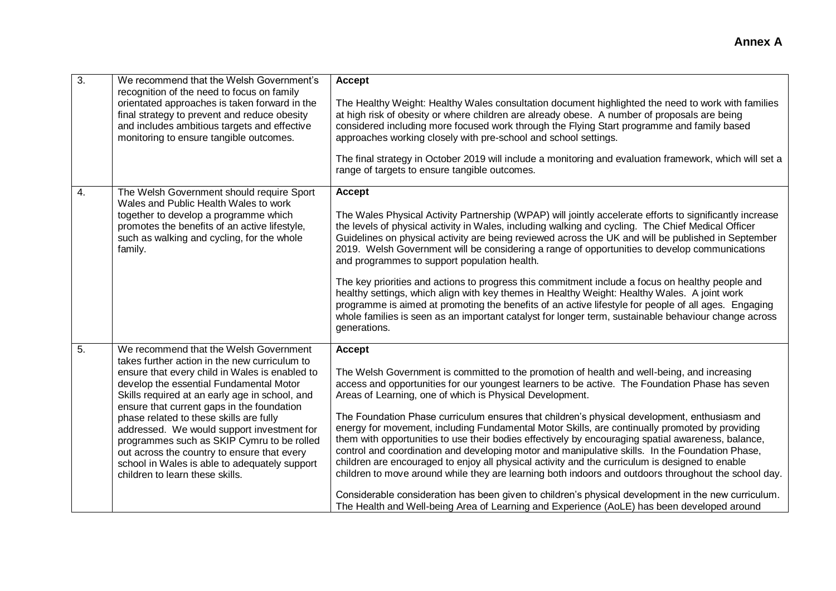| 3. | We recommend that the Welsh Government's<br>recognition of the need to focus on family<br>orientated approaches is taken forward in the<br>final strategy to prevent and reduce obesity<br>and includes ambitious targets and effective<br>monitoring to ensure tangible outcomes.                                                                                                                                                                                                                                                                             | <b>Accept</b><br>The Healthy Weight: Healthy Wales consultation document highlighted the need to work with families<br>at high risk of obesity or where children are already obese. A number of proposals are being<br>considered including more focused work through the Flying Start programme and family based<br>approaches working closely with pre-school and school settings.<br>The final strategy in October 2019 will include a monitoring and evaluation framework, which will set a<br>range of targets to ensure tangible outcomes.                                                                                                                                                                                                                                                                                                                                                                                                                                                                                                                                                       |
|----|----------------------------------------------------------------------------------------------------------------------------------------------------------------------------------------------------------------------------------------------------------------------------------------------------------------------------------------------------------------------------------------------------------------------------------------------------------------------------------------------------------------------------------------------------------------|--------------------------------------------------------------------------------------------------------------------------------------------------------------------------------------------------------------------------------------------------------------------------------------------------------------------------------------------------------------------------------------------------------------------------------------------------------------------------------------------------------------------------------------------------------------------------------------------------------------------------------------------------------------------------------------------------------------------------------------------------------------------------------------------------------------------------------------------------------------------------------------------------------------------------------------------------------------------------------------------------------------------------------------------------------------------------------------------------------|
| 4. | The Welsh Government should require Sport<br>Wales and Public Health Wales to work<br>together to develop a programme which<br>promotes the benefits of an active lifestyle,<br>such as walking and cycling, for the whole<br>family.                                                                                                                                                                                                                                                                                                                          | <b>Accept</b><br>The Wales Physical Activity Partnership (WPAP) will jointly accelerate efforts to significantly increase<br>the levels of physical activity in Wales, including walking and cycling. The Chief Medical Officer<br>Guidelines on physical activity are being reviewed across the UK and will be published in September<br>2019. Welsh Government will be considering a range of opportunities to develop communications<br>and programmes to support population health.<br>The key priorities and actions to progress this commitment include a focus on healthy people and<br>healthy settings, which align with key themes in Healthy Weight: Healthy Wales. A joint work<br>programme is aimed at promoting the benefits of an active lifestyle for people of all ages. Engaging<br>whole families is seen as an important catalyst for longer term, sustainable behaviour change across<br>generations.                                                                                                                                                                            |
| 5. | We recommend that the Welsh Government<br>takes further action in the new curriculum to<br>ensure that every child in Wales is enabled to<br>develop the essential Fundamental Motor<br>Skills required at an early age in school, and<br>ensure that current gaps in the foundation<br>phase related to these skills are fully<br>addressed. We would support investment for<br>programmes such as SKIP Cymru to be rolled<br>out across the country to ensure that every<br>school in Wales is able to adequately support<br>children to learn these skills. | <b>Accept</b><br>The Welsh Government is committed to the promotion of health and well-being, and increasing<br>access and opportunities for our youngest learners to be active. The Foundation Phase has seven<br>Areas of Learning, one of which is Physical Development.<br>The Foundation Phase curriculum ensures that children's physical development, enthusiasm and<br>energy for movement, including Fundamental Motor Skills, are continually promoted by providing<br>them with opportunities to use their bodies effectively by encouraging spatial awareness, balance,<br>control and coordination and developing motor and manipulative skills. In the Foundation Phase,<br>children are encouraged to enjoy all physical activity and the curriculum is designed to enable<br>children to move around while they are learning both indoors and outdoors throughout the school day.<br>Considerable consideration has been given to children's physical development in the new curriculum.<br>The Health and Well-being Area of Learning and Experience (AoLE) has been developed around |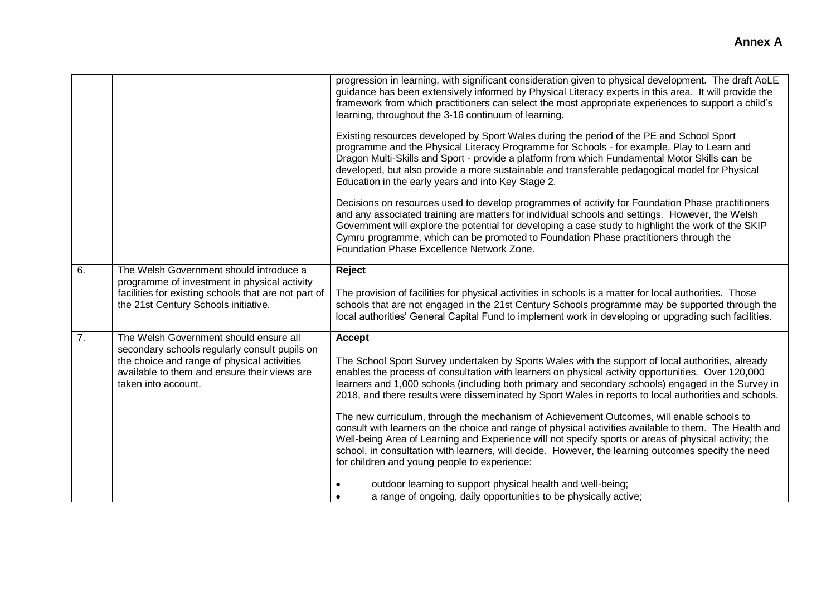|    |                                                                                                                                                                                                               | progression in learning, with significant consideration given to physical development. The draft AoLE<br>guidance has been extensively informed by Physical Literacy experts in this area. It will provide the<br>framework from which practitioners can select the most appropriate experiences to support a child's<br>learning, throughout the 3-16 continuum of learning.<br>Existing resources developed by Sport Wales during the period of the PE and School Sport<br>programme and the Physical Literacy Programme for Schools - for example, Play to Learn and<br>Dragon Multi-Skills and Sport - provide a platform from which Fundamental Motor Skills can be<br>developed, but also provide a more sustainable and transferable pedagogical model for Physical<br>Education in the early years and into Key Stage 2.<br>Decisions on resources used to develop programmes of activity for Foundation Phase practitioners<br>and any associated training are matters for individual schools and settings. However, the Welsh<br>Government will explore the potential for developing a case study to highlight the work of the SKIP<br>Cymru programme, which can be promoted to Foundation Phase practitioners through the<br>Foundation Phase Excellence Network Zone. |
|----|---------------------------------------------------------------------------------------------------------------------------------------------------------------------------------------------------------------|-------------------------------------------------------------------------------------------------------------------------------------------------------------------------------------------------------------------------------------------------------------------------------------------------------------------------------------------------------------------------------------------------------------------------------------------------------------------------------------------------------------------------------------------------------------------------------------------------------------------------------------------------------------------------------------------------------------------------------------------------------------------------------------------------------------------------------------------------------------------------------------------------------------------------------------------------------------------------------------------------------------------------------------------------------------------------------------------------------------------------------------------------------------------------------------------------------------------------------------------------------------------------------------|
| 6. | The Welsh Government should introduce a<br>programme of investment in physical activity<br>facilities for existing schools that are not part of<br>the 21st Century Schools initiative.                       | Reject<br>The provision of facilities for physical activities in schools is a matter for local authorities. Those<br>schools that are not engaged in the 21st Century Schools programme may be supported through the<br>local authorities' General Capital Fund to implement work in developing or upgrading such facilities.                                                                                                                                                                                                                                                                                                                                                                                                                                                                                                                                                                                                                                                                                                                                                                                                                                                                                                                                                       |
| 7. | The Welsh Government should ensure all<br>secondary schools regularly consult pupils on<br>the choice and range of physical activities<br>available to them and ensure their views are<br>taken into account. | Accept<br>The School Sport Survey undertaken by Sports Wales with the support of local authorities, already<br>enables the process of consultation with learners on physical activity opportunities. Over 120,000<br>learners and 1,000 schools (including both primary and secondary schools) engaged in the Survey in<br>2018, and there results were disseminated by Sport Wales in reports to local authorities and schools.<br>The new curriculum, through the mechanism of Achievement Outcomes, will enable schools to<br>consult with learners on the choice and range of physical activities available to them. The Health and<br>Well-being Area of Learning and Experience will not specify sports or areas of physical activity; the<br>school, in consultation with learners, will decide. However, the learning outcomes specify the need<br>for children and young people to experience:<br>outdoor learning to support physical health and well-being;<br>a range of ongoing, daily opportunities to be physically active;                                                                                                                                                                                                                                          |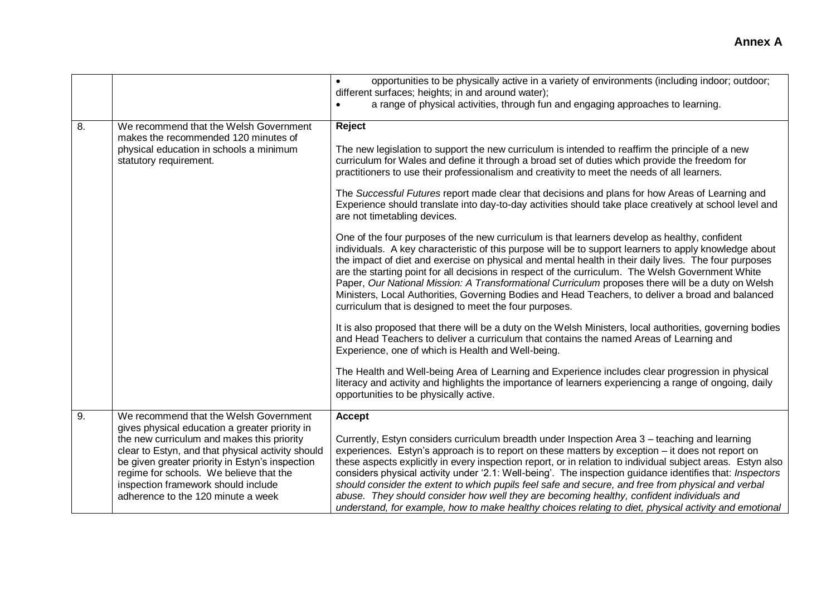|    |                                                                                                                                                                                                                                                                                                                                                                        | opportunities to be physically active in a variety of environments (including indoor; outdoor;<br>different surfaces; heights; in and around water);<br>a range of physical activities, through fun and engaging approaches to learning.<br>$\bullet$                                                                                                                                                                                                                                                                                                                                                                                                                                                                                                                                                                                                                                                                                                                                                                                                                                                                                                                                                                                                                                                                                                                                                                                                                                                                                                                                                                                                                                                                                                                         |
|----|------------------------------------------------------------------------------------------------------------------------------------------------------------------------------------------------------------------------------------------------------------------------------------------------------------------------------------------------------------------------|-------------------------------------------------------------------------------------------------------------------------------------------------------------------------------------------------------------------------------------------------------------------------------------------------------------------------------------------------------------------------------------------------------------------------------------------------------------------------------------------------------------------------------------------------------------------------------------------------------------------------------------------------------------------------------------------------------------------------------------------------------------------------------------------------------------------------------------------------------------------------------------------------------------------------------------------------------------------------------------------------------------------------------------------------------------------------------------------------------------------------------------------------------------------------------------------------------------------------------------------------------------------------------------------------------------------------------------------------------------------------------------------------------------------------------------------------------------------------------------------------------------------------------------------------------------------------------------------------------------------------------------------------------------------------------------------------------------------------------------------------------------------------------|
| 8. | We recommend that the Welsh Government<br>makes the recommended 120 minutes of<br>physical education in schools a minimum<br>statutory requirement.                                                                                                                                                                                                                    | Reject<br>The new legislation to support the new curriculum is intended to reaffirm the principle of a new<br>curriculum for Wales and define it through a broad set of duties which provide the freedom for<br>practitioners to use their professionalism and creativity to meet the needs of all learners.<br>The Successful Futures report made clear that decisions and plans for how Areas of Learning and<br>Experience should translate into day-to-day activities should take place creatively at school level and<br>are not timetabling devices.<br>One of the four purposes of the new curriculum is that learners develop as healthy, confident<br>individuals. A key characteristic of this purpose will be to support learners to apply knowledge about<br>the impact of diet and exercise on physical and mental health in their daily lives. The four purposes<br>are the starting point for all decisions in respect of the curriculum. The Welsh Government White<br>Paper, Our National Mission: A Transformational Curriculum proposes there will be a duty on Welsh<br>Ministers, Local Authorities, Governing Bodies and Head Teachers, to deliver a broad and balanced<br>curriculum that is designed to meet the four purposes.<br>It is also proposed that there will be a duty on the Welsh Ministers, local authorities, governing bodies<br>and Head Teachers to deliver a curriculum that contains the named Areas of Learning and<br>Experience, one of which is Health and Well-being.<br>The Health and Well-being Area of Learning and Experience includes clear progression in physical<br>literacy and activity and highlights the importance of learners experiencing a range of ongoing, daily<br>opportunities to be physically active. |
| 9. | We recommend that the Welsh Government<br>gives physical education a greater priority in<br>the new curriculum and makes this priority<br>clear to Estyn, and that physical activity should<br>be given greater priority in Estyn's inspection<br>regime for schools. We believe that the<br>inspection framework should include<br>adherence to the 120 minute a week | <b>Accept</b><br>Currently, Estyn considers curriculum breadth under Inspection Area 3 - teaching and learning<br>experiences. Estyn's approach is to report on these matters by exception - it does not report on<br>these aspects explicitly in every inspection report, or in relation to individual subject areas. Estyn also<br>considers physical activity under '2.1: Well-being'. The inspection guidance identifies that: Inspectors<br>should consider the extent to which pupils feel safe and secure, and free from physical and verbal<br>abuse. They should consider how well they are becoming healthy, confident individuals and<br>understand, for example, how to make healthy choices relating to diet, physical activity and emotional                                                                                                                                                                                                                                                                                                                                                                                                                                                                                                                                                                                                                                                                                                                                                                                                                                                                                                                                                                                                                    |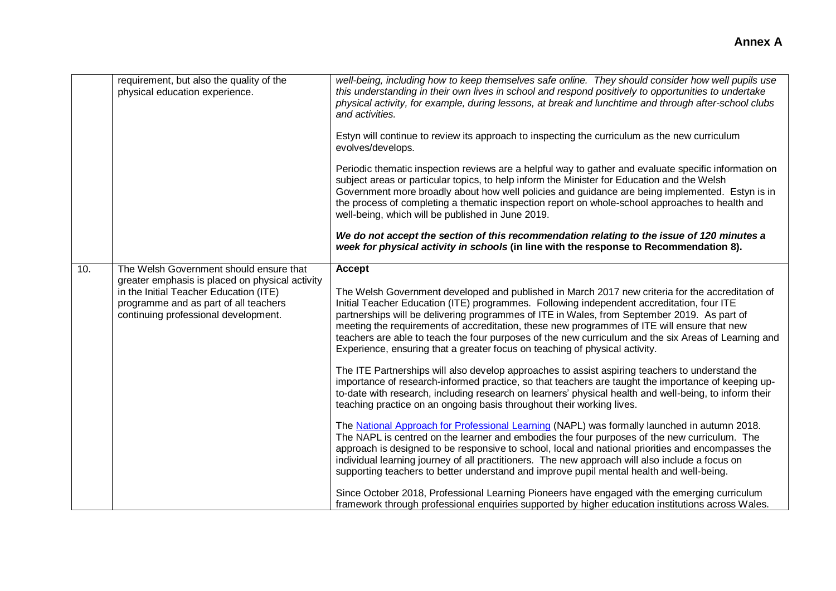|     | requirement, but also the quality of the<br>physical education experience.                                              | well-being, including how to keep themselves safe online. They should consider how well pupils use<br>this understanding in their own lives in school and respond positively to opportunities to undertake<br>physical activity, for example, during lessons, at break and lunchtime and through after-school clubs<br>and activities.<br>Estyn will continue to review its approach to inspecting the curriculum as the new curriculum<br>evolves/develops.                                                                                                                       |
|-----|-------------------------------------------------------------------------------------------------------------------------|------------------------------------------------------------------------------------------------------------------------------------------------------------------------------------------------------------------------------------------------------------------------------------------------------------------------------------------------------------------------------------------------------------------------------------------------------------------------------------------------------------------------------------------------------------------------------------|
|     |                                                                                                                         | Periodic thematic inspection reviews are a helpful way to gather and evaluate specific information on<br>subject areas or particular topics, to help inform the Minister for Education and the Welsh<br>Government more broadly about how well policies and guidance are being implemented. Estyn is in<br>the process of completing a thematic inspection report on whole-school approaches to health and<br>well-being, which will be published in June 2019.                                                                                                                    |
|     |                                                                                                                         | We do not accept the section of this recommendation relating to the issue of 120 minutes a<br>week for physical activity in schools (in line with the response to Recommendation 8).                                                                                                                                                                                                                                                                                                                                                                                               |
| 10. | The Welsh Government should ensure that<br>greater emphasis is placed on physical activity                              | <b>Accept</b>                                                                                                                                                                                                                                                                                                                                                                                                                                                                                                                                                                      |
|     | in the Initial Teacher Education (ITE)<br>programme and as part of all teachers<br>continuing professional development. | The Welsh Government developed and published in March 2017 new criteria for the accreditation of<br>Initial Teacher Education (ITE) programmes. Following independent accreditation, four ITE<br>partnerships will be delivering programmes of ITE in Wales, from September 2019. As part of<br>meeting the requirements of accreditation, these new programmes of ITE will ensure that new<br>teachers are able to teach the four purposes of the new curriculum and the six Areas of Learning and<br>Experience, ensuring that a greater focus on teaching of physical activity. |
|     |                                                                                                                         | The ITE Partnerships will also develop approaches to assist aspiring teachers to understand the<br>importance of research-informed practice, so that teachers are taught the importance of keeping up-<br>to-date with research, including research on learners' physical health and well-being, to inform their<br>teaching practice on an ongoing basis throughout their working lives.                                                                                                                                                                                          |
|     |                                                                                                                         | The National Approach for Professional Learning (NAPL) was formally launched in autumn 2018.<br>The NAPL is centred on the learner and embodies the four purposes of the new curriculum. The<br>approach is designed to be responsive to school, local and national priorities and encompasses the<br>individual learning journey of all practitioners. The new approach will also include a focus on<br>supporting teachers to better understand and improve pupil mental health and well-being.                                                                                  |
|     |                                                                                                                         | Since October 2018, Professional Learning Pioneers have engaged with the emerging curriculum<br>framework through professional enquiries supported by higher education institutions across Wales.                                                                                                                                                                                                                                                                                                                                                                                  |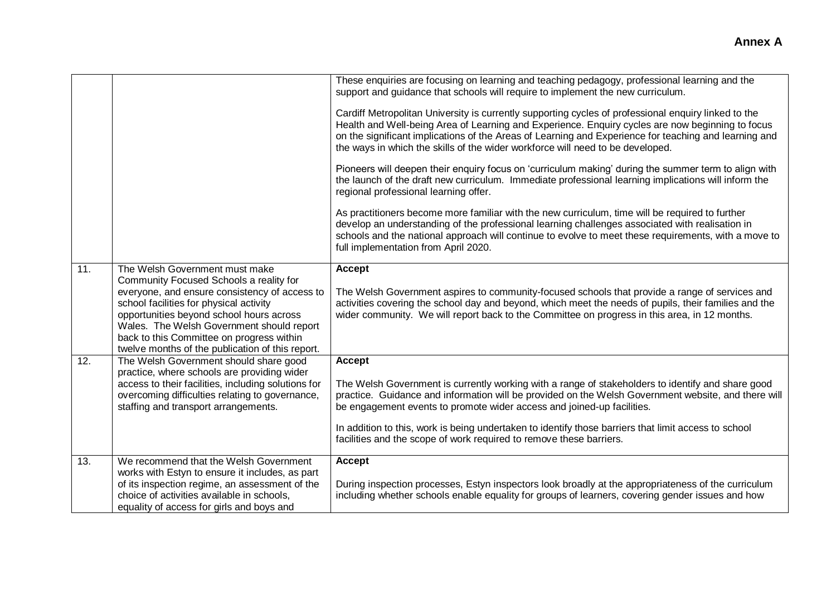|     |                                                                                                                                                                                                                                                                                                                                                                 | These enquiries are focusing on learning and teaching pedagogy, professional learning and the<br>support and guidance that schools will require to implement the new curriculum.                                                                                                                                                                                                                    |
|-----|-----------------------------------------------------------------------------------------------------------------------------------------------------------------------------------------------------------------------------------------------------------------------------------------------------------------------------------------------------------------|-----------------------------------------------------------------------------------------------------------------------------------------------------------------------------------------------------------------------------------------------------------------------------------------------------------------------------------------------------------------------------------------------------|
|     |                                                                                                                                                                                                                                                                                                                                                                 | Cardiff Metropolitan University is currently supporting cycles of professional enquiry linked to the<br>Health and Well-being Area of Learning and Experience. Enquiry cycles are now beginning to focus<br>on the significant implications of the Areas of Learning and Experience for teaching and learning and<br>the ways in which the skills of the wider workforce will need to be developed. |
|     |                                                                                                                                                                                                                                                                                                                                                                 | Pioneers will deepen their enquiry focus on 'curriculum making' during the summer term to align with<br>the launch of the draft new curriculum. Immediate professional learning implications will inform the<br>regional professional learning offer.                                                                                                                                               |
|     |                                                                                                                                                                                                                                                                                                                                                                 | As practitioners become more familiar with the new curriculum, time will be required to further<br>develop an understanding of the professional learning challenges associated with realisation in<br>schools and the national approach will continue to evolve to meet these requirements, with a move to<br>full implementation from April 2020.                                                  |
| 11. | The Welsh Government must make<br>Community Focused Schools a reality for<br>everyone, and ensure consistency of access to<br>school facilities for physical activity<br>opportunities beyond school hours across<br>Wales. The Welsh Government should report<br>back to this Committee on progress within<br>twelve months of the publication of this report. | <b>Accept</b><br>The Welsh Government aspires to community-focused schools that provide a range of services and<br>activities covering the school day and beyond, which meet the needs of pupils, their families and the<br>wider community. We will report back to the Committee on progress in this area, in 12 months.                                                                           |
| 12. | The Welsh Government should share good                                                                                                                                                                                                                                                                                                                          | <b>Accept</b>                                                                                                                                                                                                                                                                                                                                                                                       |
|     | practice, where schools are providing wider<br>access to their facilities, including solutions for<br>overcoming difficulties relating to governance,<br>staffing and transport arrangements.                                                                                                                                                                   | The Welsh Government is currently working with a range of stakeholders to identify and share good<br>practice. Guidance and information will be provided on the Welsh Government website, and there will<br>be engagement events to promote wider access and joined-up facilities.                                                                                                                  |
|     |                                                                                                                                                                                                                                                                                                                                                                 | In addition to this, work is being undertaken to identify those barriers that limit access to school<br>facilities and the scope of work required to remove these barriers.                                                                                                                                                                                                                         |
| 13. | We recommend that the Welsh Government                                                                                                                                                                                                                                                                                                                          | <b>Accept</b>                                                                                                                                                                                                                                                                                                                                                                                       |
|     | works with Estyn to ensure it includes, as part                                                                                                                                                                                                                                                                                                                 |                                                                                                                                                                                                                                                                                                                                                                                                     |
|     | of its inspection regime, an assessment of the<br>choice of activities available in schools,                                                                                                                                                                                                                                                                    | During inspection processes, Estyn inspectors look broadly at the appropriateness of the curriculum<br>including whether schools enable equality for groups of learners, covering gender issues and how                                                                                                                                                                                             |
|     | equality of access for girls and boys and                                                                                                                                                                                                                                                                                                                       |                                                                                                                                                                                                                                                                                                                                                                                                     |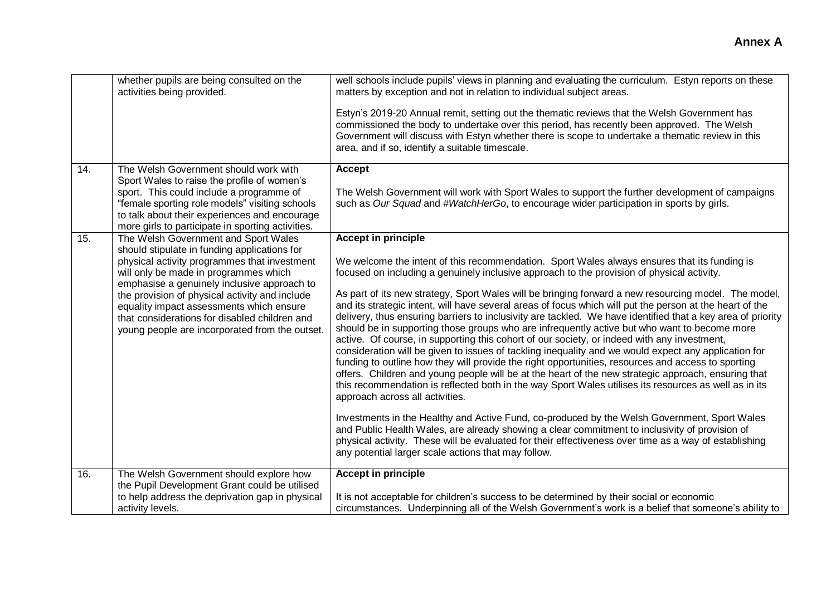|     | whether pupils are being consulted on the<br>activities being provided.                                                                                                                                                                                                                                                                                                                                                       | well schools include pupils' views in planning and evaluating the curriculum. Estyn reports on these<br>matters by exception and not in relation to individual subject areas.<br>Estyn's 2019-20 Annual remit, setting out the thematic reviews that the Welsh Government has<br>commissioned the body to undertake over this period, has recently been approved. The Welsh<br>Government will discuss with Estyn whether there is scope to undertake a thematic review in this<br>area, and if so, identify a suitable timescale.                                                                                                                                                                                                                                                                                                                                                                                                                                                                                                                                                                                                                                                                                                                                                                                                                                                                                                                                                                                                                                                            |
|-----|-------------------------------------------------------------------------------------------------------------------------------------------------------------------------------------------------------------------------------------------------------------------------------------------------------------------------------------------------------------------------------------------------------------------------------|-----------------------------------------------------------------------------------------------------------------------------------------------------------------------------------------------------------------------------------------------------------------------------------------------------------------------------------------------------------------------------------------------------------------------------------------------------------------------------------------------------------------------------------------------------------------------------------------------------------------------------------------------------------------------------------------------------------------------------------------------------------------------------------------------------------------------------------------------------------------------------------------------------------------------------------------------------------------------------------------------------------------------------------------------------------------------------------------------------------------------------------------------------------------------------------------------------------------------------------------------------------------------------------------------------------------------------------------------------------------------------------------------------------------------------------------------------------------------------------------------------------------------------------------------------------------------------------------------|
| 14. | The Welsh Government should work with<br>Sport Wales to raise the profile of women's<br>sport. This could include a programme of<br>"female sporting role models" visiting schools<br>to talk about their experiences and encourage<br>more girls to participate in sporting activities.                                                                                                                                      | Accept<br>The Welsh Government will work with Sport Wales to support the further development of campaigns<br>such as Our Squad and #WatchHerGo, to encourage wider participation in sports by girls.                                                                                                                                                                                                                                                                                                                                                                                                                                                                                                                                                                                                                                                                                                                                                                                                                                                                                                                                                                                                                                                                                                                                                                                                                                                                                                                                                                                          |
| 15. | The Welsh Government and Sport Wales<br>should stipulate in funding applications for<br>physical activity programmes that investment<br>will only be made in programmes which<br>emphasise a genuinely inclusive approach to<br>the provision of physical activity and include<br>equality impact assessments which ensure<br>that considerations for disabled children and<br>young people are incorporated from the outset. | <b>Accept in principle</b><br>We welcome the intent of this recommendation. Sport Wales always ensures that its funding is<br>focused on including a genuinely inclusive approach to the provision of physical activity.<br>As part of its new strategy, Sport Wales will be bringing forward a new resourcing model. The model,<br>and its strategic intent, will have several areas of focus which will put the person at the heart of the<br>delivery, thus ensuring barriers to inclusivity are tackled. We have identified that a key area of priority<br>should be in supporting those groups who are infrequently active but who want to become more<br>active. Of course, in supporting this cohort of our society, or indeed with any investment,<br>consideration will be given to issues of tackling inequality and we would expect any application for<br>funding to outline how they will provide the right opportunities, resources and access to sporting<br>offers. Children and young people will be at the heart of the new strategic approach, ensuring that<br>this recommendation is reflected both in the way Sport Wales utilises its resources as well as in its<br>approach across all activities.<br>Investments in the Healthy and Active Fund, co-produced by the Welsh Government, Sport Wales<br>and Public Health Wales, are already showing a clear commitment to inclusivity of provision of<br>physical activity. These will be evaluated for their effectiveness over time as a way of establishing<br>any potential larger scale actions that may follow. |
| 16. | The Welsh Government should explore how<br>the Pupil Development Grant could be utilised                                                                                                                                                                                                                                                                                                                                      | <b>Accept in principle</b>                                                                                                                                                                                                                                                                                                                                                                                                                                                                                                                                                                                                                                                                                                                                                                                                                                                                                                                                                                                                                                                                                                                                                                                                                                                                                                                                                                                                                                                                                                                                                                    |
|     | to help address the deprivation gap in physical<br>activity levels.                                                                                                                                                                                                                                                                                                                                                           | It is not acceptable for children's success to be determined by their social or economic<br>circumstances. Underpinning all of the Welsh Government's work is a belief that someone's ability to                                                                                                                                                                                                                                                                                                                                                                                                                                                                                                                                                                                                                                                                                                                                                                                                                                                                                                                                                                                                                                                                                                                                                                                                                                                                                                                                                                                              |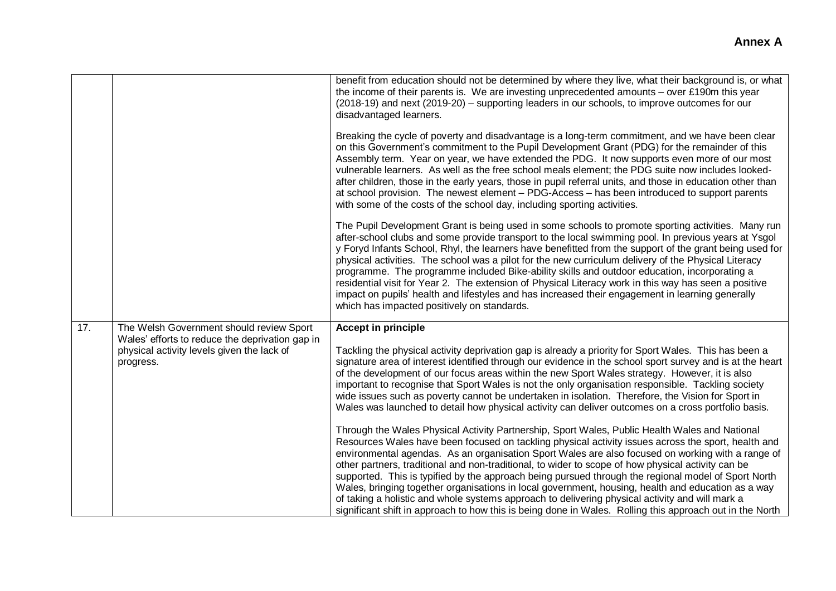|     |                                                                                                                                                        | benefit from education should not be determined by where they live, what their background is, or what<br>the income of their parents is. We are investing unprecedented amounts – over £190m this year<br>(2018-19) and next (2019-20) – supporting leaders in our schools, to improve outcomes for our<br>disadvantaged learners.                                                                                                                                                                                                                                                                                                                                                                                                                                                                                                                                                                                                                                                                                                                                                                                                                                                                                                                                                                                                                                                                                                                                                                                   |
|-----|--------------------------------------------------------------------------------------------------------------------------------------------------------|----------------------------------------------------------------------------------------------------------------------------------------------------------------------------------------------------------------------------------------------------------------------------------------------------------------------------------------------------------------------------------------------------------------------------------------------------------------------------------------------------------------------------------------------------------------------------------------------------------------------------------------------------------------------------------------------------------------------------------------------------------------------------------------------------------------------------------------------------------------------------------------------------------------------------------------------------------------------------------------------------------------------------------------------------------------------------------------------------------------------------------------------------------------------------------------------------------------------------------------------------------------------------------------------------------------------------------------------------------------------------------------------------------------------------------------------------------------------------------------------------------------------|
|     |                                                                                                                                                        | Breaking the cycle of poverty and disadvantage is a long-term commitment, and we have been clear<br>on this Government's commitment to the Pupil Development Grant (PDG) for the remainder of this<br>Assembly term. Year on year, we have extended the PDG. It now supports even more of our most<br>vulnerable learners. As well as the free school meals element; the PDG suite now includes looked-<br>after children, those in the early years, those in pupil referral units, and those in education other than<br>at school provision. The newest element - PDG-Access - has been introduced to support parents<br>with some of the costs of the school day, including sporting activities.                                                                                                                                                                                                                                                                                                                                                                                                                                                                                                                                                                                                                                                                                                                                                                                                                   |
|     |                                                                                                                                                        | The Pupil Development Grant is being used in some schools to promote sporting activities. Many run<br>after-school clubs and some provide transport to the local swimming pool. In previous years at Ysgol<br>y Foryd Infants School, Rhyl, the learners have benefitted from the support of the grant being used for<br>physical activities. The school was a pilot for the new curriculum delivery of the Physical Literacy<br>programme. The programme included Bike-ability skills and outdoor education, incorporating a<br>residential visit for Year 2. The extension of Physical Literacy work in this way has seen a positive<br>impact on pupils' health and lifestyles and has increased their engagement in learning generally<br>which has impacted positively on standards.                                                                                                                                                                                                                                                                                                                                                                                                                                                                                                                                                                                                                                                                                                                            |
| 17. | The Welsh Government should review Sport<br>Wales' efforts to reduce the deprivation gap in<br>physical activity levels given the lack of<br>progress. | <b>Accept in principle</b><br>Tackling the physical activity deprivation gap is already a priority for Sport Wales. This has been a<br>signature area of interest identified through our evidence in the school sport survey and is at the heart<br>of the development of our focus areas within the new Sport Wales strategy. However, it is also<br>important to recognise that Sport Wales is not the only organisation responsible. Tackling society<br>wide issues such as poverty cannot be undertaken in isolation. Therefore, the Vision for Sport in<br>Wales was launched to detail how physical activity can deliver outcomes on a cross portfolio basis.<br>Through the Wales Physical Activity Partnership, Sport Wales, Public Health Wales and National<br>Resources Wales have been focused on tackling physical activity issues across the sport, health and<br>environmental agendas. As an organisation Sport Wales are also focused on working with a range of<br>other partners, traditional and non-traditional, to wider to scope of how physical activity can be<br>supported. This is typified by the approach being pursued through the regional model of Sport North<br>Wales, bringing together organisations in local government, housing, health and education as a way<br>of taking a holistic and whole systems approach to delivering physical activity and will mark a<br>significant shift in approach to how this is being done in Wales. Rolling this approach out in the North |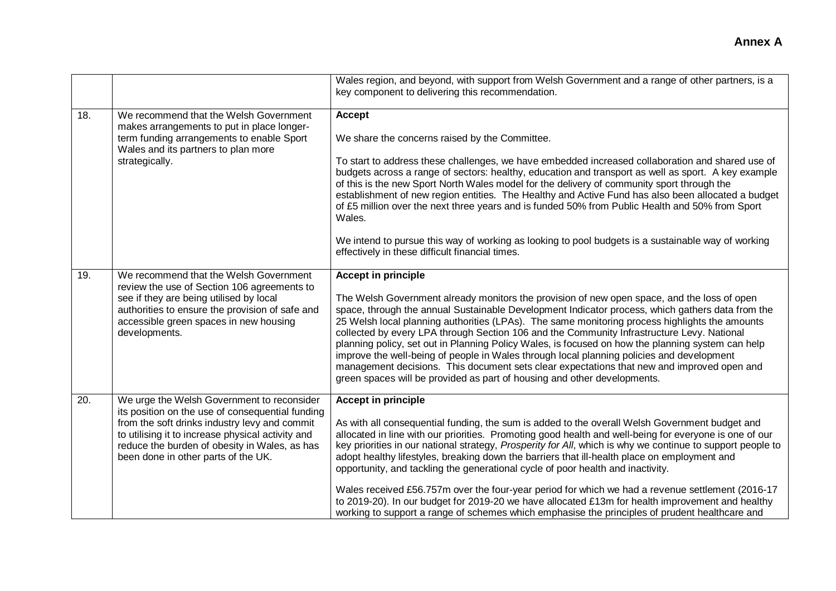|                   |                                                                                                                                                                                                                                                                                              | Wales region, and beyond, with support from Welsh Government and a range of other partners, is a<br>key component to delivering this recommendation.                                                                                                                                                                                                                                                                                                                                                                                                                                                                                                                                                                                                                                                                                              |
|-------------------|----------------------------------------------------------------------------------------------------------------------------------------------------------------------------------------------------------------------------------------------------------------------------------------------|---------------------------------------------------------------------------------------------------------------------------------------------------------------------------------------------------------------------------------------------------------------------------------------------------------------------------------------------------------------------------------------------------------------------------------------------------------------------------------------------------------------------------------------------------------------------------------------------------------------------------------------------------------------------------------------------------------------------------------------------------------------------------------------------------------------------------------------------------|
| 18.               | We recommend that the Welsh Government<br>makes arrangements to put in place longer-<br>term funding arrangements to enable Sport<br>Wales and its partners to plan more<br>strategically.                                                                                                   | Accept<br>We share the concerns raised by the Committee.<br>To start to address these challenges, we have embedded increased collaboration and shared use of<br>budgets across a range of sectors: healthy, education and transport as well as sport. A key example<br>of this is the new Sport North Wales model for the delivery of community sport through the<br>establishment of new region entities. The Healthy and Active Fund has also been allocated a budget<br>of £5 million over the next three years and is funded 50% from Public Health and 50% from Sport<br>Wales.<br>We intend to pursue this way of working as looking to pool budgets is a sustainable way of working<br>effectively in these difficult financial times.                                                                                                     |
| 19.               | We recommend that the Welsh Government<br>review the use of Section 106 agreements to<br>see if they are being utilised by local<br>authorities to ensure the provision of safe and<br>accessible green spaces in new housing<br>developments.                                               | <b>Accept in principle</b><br>The Welsh Government already monitors the provision of new open space, and the loss of open<br>space, through the annual Sustainable Development Indicator process, which gathers data from the<br>25 Welsh local planning authorities (LPAs). The same monitoring process highlights the amounts<br>collected by every LPA through Section 106 and the Community Infrastructure Levy. National<br>planning policy, set out in Planning Policy Wales, is focused on how the planning system can help<br>improve the well-being of people in Wales through local planning policies and development<br>management decisions. This document sets clear expectations that new and improved open and<br>green spaces will be provided as part of housing and other developments.                                         |
| $\overline{20}$ . | We urge the Welsh Government to reconsider<br>its position on the use of consequential funding<br>from the soft drinks industry levy and commit<br>to utilising it to increase physical activity and<br>reduce the burden of obesity in Wales, as has<br>been done in other parts of the UK. | <b>Accept in principle</b><br>As with all consequential funding, the sum is added to the overall Welsh Government budget and<br>allocated in line with our priorities. Promoting good health and well-being for everyone is one of our<br>key priorities in our national strategy, Prosperity for All, which is why we continue to support people to<br>adopt healthy lifestyles, breaking down the barriers that ill-health place on employment and<br>opportunity, and tackling the generational cycle of poor health and inactivity.<br>Wales received £56.757m over the four-year period for which we had a revenue settlement (2016-17<br>to 2019-20). In our budget for 2019-20 we have allocated £13m for health improvement and healthy<br>working to support a range of schemes which emphasise the principles of prudent healthcare and |